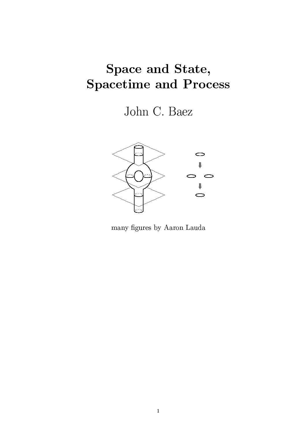# Space and State, **Spacetime and Process**

John C. Baez



many figures by Aaron Lauda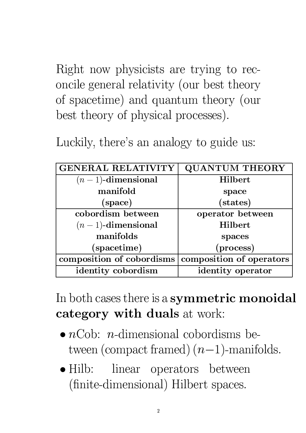Right now physicists are trying to reconcile general relativity (our best theory of spacetime) and quantum theory (our best theory of physical processes).

Luckily, there's an analogy to guide us:

| <b>GENERAL RELATIVITY</b> | <b>QUANTUM THEORY</b>    |
|---------------------------|--------------------------|
| $(n-1)$ -dimensional      | <b>Hilbert</b>           |
| manifold                  | space                    |
| (space)                   | (states)                 |
| cobordism between         | operator between         |
| $(n-1)$ -dimensional      | Hilbert                  |
| manifolds                 | spaces                   |
| (spacetime)               | (process)                |
| composition of cobordisms | composition of operators |
| identity cobordism        | identity operator        |

In both cases there is a symmetric monoidal category with duals at work:

- $\bullet$  *n*Cob: *n*-dimensional cobordisms between (compact framed)  $(n-1)$ -manifolds.
- $\bullet$  Hilb: linear operators between (finite-dimensional) Hilbert spaces.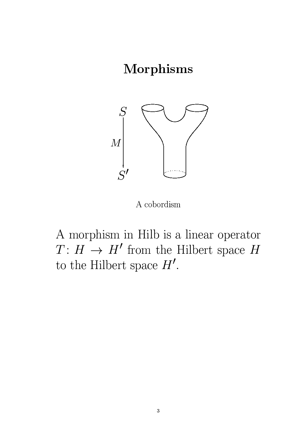## Morphisms



A cobordism

A morphism in Hilb is a linear operator  $T\colon H\,\to\, H'$  from the Hilbert space  $H$ to the Hilbert space  $H'$ .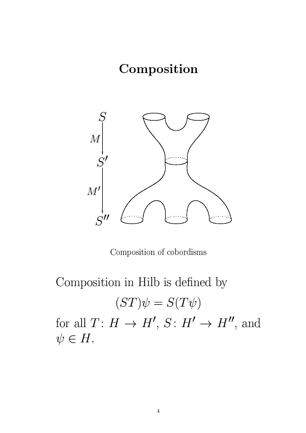# Composition



Composition of cobordisms

Composition in Hilb is defined by

$$
(ST)\psi=S(T\psi)
$$

for all  $T: H \to H', S: H' \to H'',$  and  $\psi \in H$ .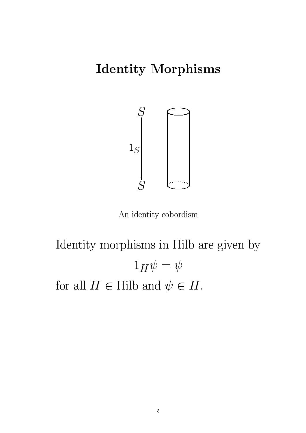# **Identity Morphisms**



An identity cobordism

Identity morphisms in Hilb are given by  $1_H \psi = \psi$ for all  $H \in$  Hilb and  $\psi \in H$ .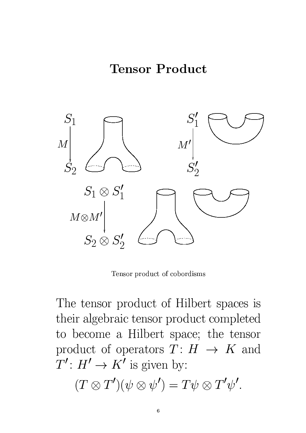

Tensor product of cobordisms

The tensor product of Hilbert spaces is their algebraic tensor product completed to become a Hilbert space; the tensor product of operators  $T: H \rightarrow K$  and  $T' : H' \to K'$  is given by:

$$
(T\otimes T')(\psi\otimes\psi')=T\psi\otimes T'\psi'.
$$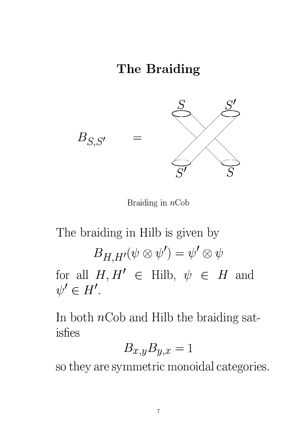# The Braiding



Braiding in  $nCob$ 

The braiding in Hilb is given by  $B_{H,H'}(\psi \otimes \psi') = \psi' \otimes \psi$ for all  $H, H' \in$  Hilb,  $\psi \in H$  and  $\psi' \in H'.$ 

In both  $n$ Cob and Hilb the braiding satisfies

$$
B_{x,y}B_{y,x}=1
$$

so they are symmetric monoidal categories.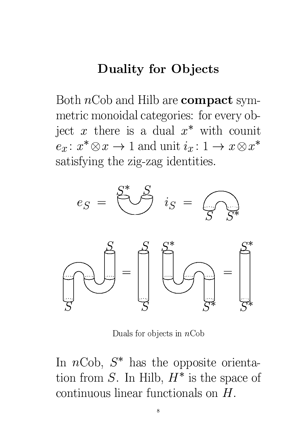### **Duality for Objects**

Both  $nCob$  and Hilb are **compact** symmetric monoidal categories: for every object  $x$  there is a dual  $x^*$  with counit  $e_x: x^* \otimes x \to 1$  and unit  $i_x: 1 \to x \otimes x^*$ satisfying the zig-zag identities.



Duals for objects in  $nCob$ 

In  $nCob$ ,  $S^*$  has the opposite orientation from S. In Hilb,  $H^*$  is the space of continuous linear functionals on  $H$ .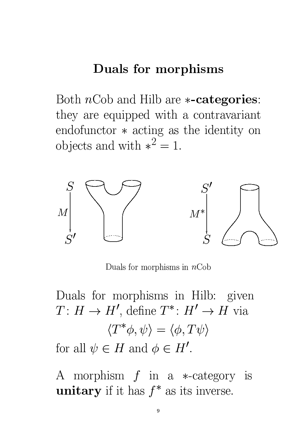#### Duals for morphisms

Both  $nCob$  and Hilb are  $\ast$ -categories: they are equipped with a contravariant endofunctor  $*$  acting as the identity on objects and with  $*^2 = 1$ .



Duals for morphisms in  $nCob$ 

Duals for morphisms in Hilb: given  $T: H \to H'$ , define  $T^*: H' \to H$  via  $\langle T^*\phi,\psi\rangle=\langle\phi,T\psi\rangle$ for all  $\psi \in H$  and  $\phi \in H'$ .

A morphism  $f$  in a  $\ast$ -category is **unitary** if it has  $f^*$  as its inverse.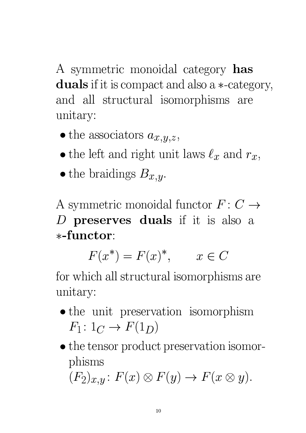A symmetric monoidal category has duals if it is compact and also a \*-category, and all structural isomorphisms are unitary:

- the associators  $a_{x,y,z}$ ,
- the left and right unit laws  $\ell_x$  and  $r_x$ ,
- the braidings  $B_{x,y}$ .

A symmetric monoidal functor  $F: C \rightarrow$ D preserves duals if it is also a \*-functor:

$$
F(x^*) = F(x)^*, \qquad x \in C
$$

for which all structural isomorphisms are unitary:

- the unit preservation isomorphism  $F_1: 1_C \rightarrow F(1_D)$
- $\bullet$  the tensor product preservation isomorphisms  $(F_2)_{x,y}$ :  $F(x) \otimes F(y) \rightarrow F(x \otimes y)$ .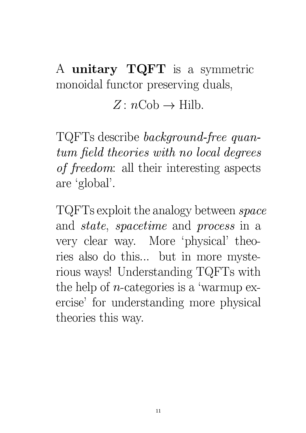A unitary TQFT is a symmetric monoidal functor preserving duals,

# $Z: n \text{Cob} \rightarrow \text{Hilb}.$

TQFTs describe *background-free quan*tum field theories with no local degrees of freedom: all their interesting aspects are 'global'.

TQFTs exploit the analogy between *space* and *state*, *spacetime* and *process* in a very clear way. More 'physical' theories also do this... but in more mysterious ways! Understanding TQFTs with the help of *n*-categories is a 'warmup exercise' for understanding more physical theories this way.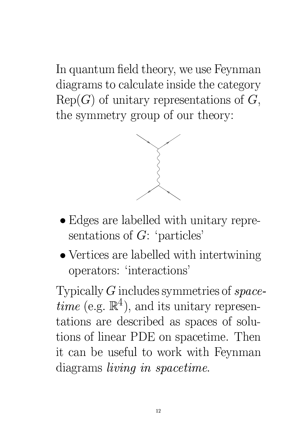In quantum field theory, we use Feynman diagrams to calculate inside the category  $\text{Rep}(G)$  of unitary representations of  $G$ , the symmetry group of our theory:



- Edges are labelled with unitary representations of  $G$ : 'particles'
- $\bullet$  Vertices are labelled with intertwining operators: 'interactions'

Typically  $G$  includes symmetries of  $space$ *time* (e.g.  $\mathbb{R}^4$ ), and its unitary representations are described as spaces of solutions of linear PDE on spacetime. Then it can be useful to work with Feynman diagrams *living* in spacetime.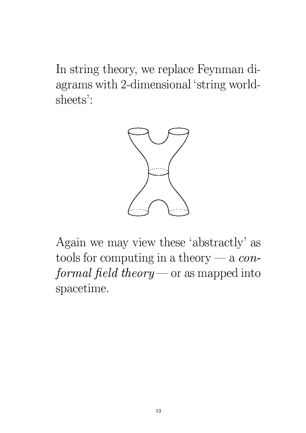In string theory, we replace Feynman diagrams with 2-dimensional 'string worldsheets':



Again we may view these 'abstractly' as tools for computing in a theory — a  $con$ *formal field theory* — or as mapped into spacetime.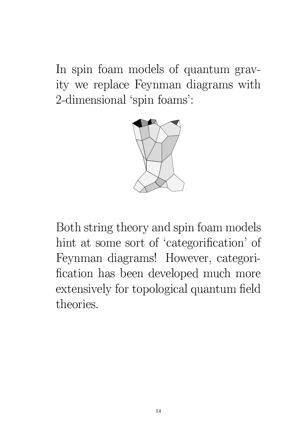In spin foam models of quantum gravity we replace Feynman diagrams with 2-dimensional 'spin foams':



Both string theory and spin foam models hint at some sort of 'categorification' of Feynman diagrams! However, categorification has been developed much more extensively for topological quantum field theories.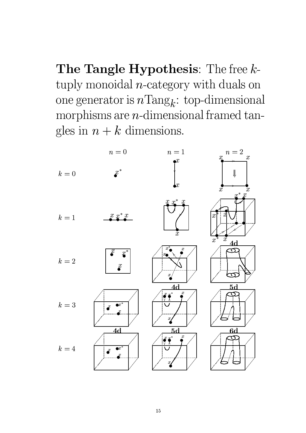The Tangle Hypothesis: The free  $k$ tuply monoidal  $n$ -category with duals on one generator is  $n\text{Tang}_k$ : top-dimensional morphisms are  $n$ -dimensional framed tangles in  $n + k$  dimensions.